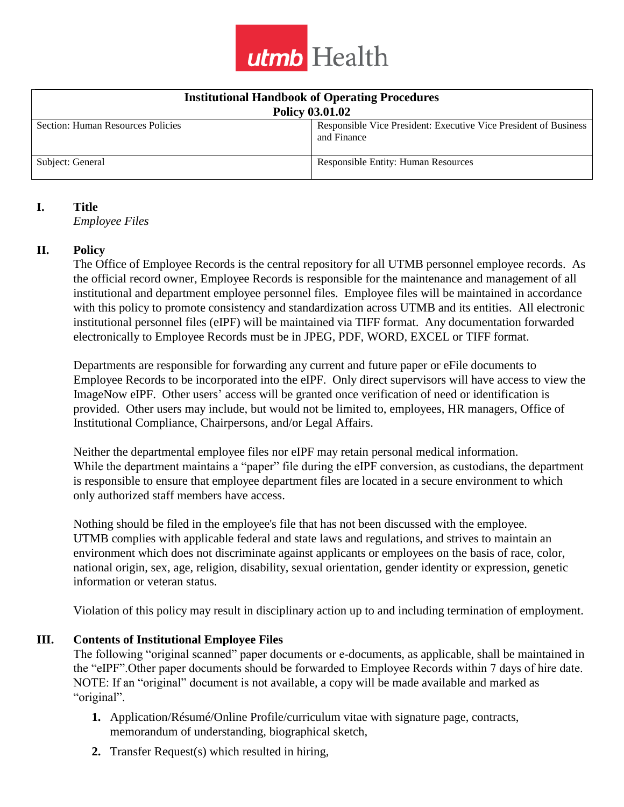

| <b>Institutional Handbook of Operating Procedures</b> |                                                                                 |  |
|-------------------------------------------------------|---------------------------------------------------------------------------------|--|
| <b>Policy 03.01.02</b>                                |                                                                                 |  |
| Section: Human Resources Policies                     | Responsible Vice President: Executive Vice President of Business<br>and Finance |  |
| Subject: General                                      | <b>Responsible Entity: Human Resources</b>                                      |  |

#### **I. Title**

*Employee Files*

### **II. Policy**

The Office of Employee Records is the central repository for all UTMB personnel employee records. As the official record owner, Employee Records is responsible for the maintenance and management of all institutional and department employee personnel files. Employee files will be maintained in accordance with this policy to promote consistency and standardization across UTMB and its entities. All electronic institutional personnel files (eIPF) will be maintained via TIFF format. Any documentation forwarded electronically to Employee Records must be in JPEG, PDF, WORD, EXCEL or TIFF format.

Departments are responsible for forwarding any current and future paper or eFile documents to Employee Records to be incorporated into the eIPF. Only direct supervisors will have access to view the ImageNow eIPF. Other users' access will be granted once verification of need or identification is provided. Other users may include, but would not be limited to, employees, HR managers, Office of Institutional Compliance, Chairpersons, and/or Legal Affairs.

Neither the departmental employee files nor eIPF may retain personal medical information. While the department maintains a "paper" file during the eIPF conversion, as custodians, the department is responsible to ensure that employee department files are located in a secure environment to which only authorized staff members have access.

Nothing should be filed in the employee's file that has not been discussed with the employee. UTMB complies with applicable federal and state laws and regulations, and strives to maintain an environment which does not discriminate against applicants or employees on the basis of race, color, national origin, sex, age, religion, disability, sexual orientation, gender identity or expression, genetic information or veteran status.

Violation of this policy may result in disciplinary action up to and including termination of employment.

## **III. Contents of Institutional Employee Files**

The following "original scanned" paper documents or e-documents, as applicable, shall be maintained in the "eIPF".Other paper documents should be forwarded to Employee Records within 7 days of hire date. NOTE: If an "original" document is not available, a copy will be made available and marked as "original".

- **1.** Application/Résumé/Online Profile/curriculum vitae with signature page, contracts, memorandum of understanding, biographical sketch,
- **2.** Transfer Request(s) which resulted in hiring,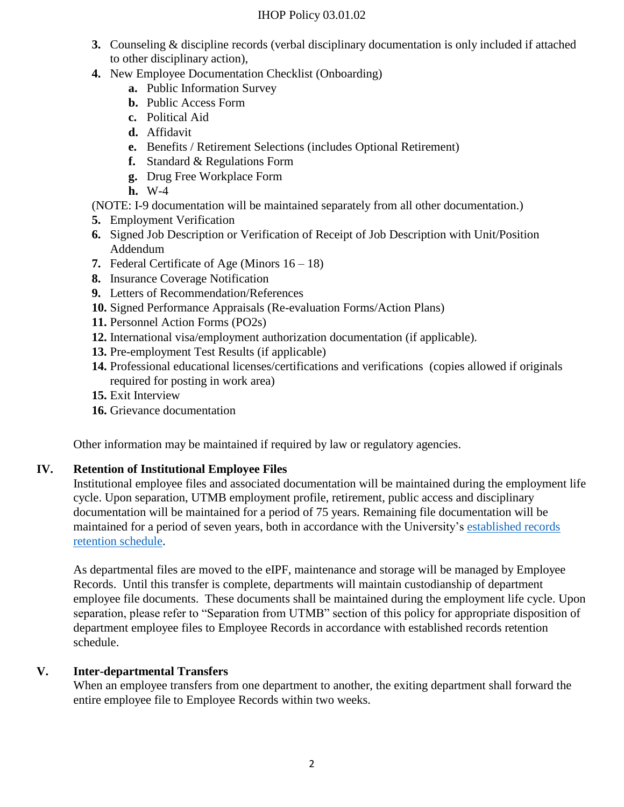### IHOP Policy 03.01.02

- **3.** Counseling & discipline records (verbal disciplinary documentation is only included if attached to other disciplinary action),
- **4.** New Employee Documentation Checklist (Onboarding)
	- **a.** Public Information Survey
	- **b.** Public Access Form
	- **c.** Political Aid
	- **d.** Affidavit
	- **e.** Benefits / Retirement Selections (includes Optional Retirement)
	- **f.** Standard & Regulations Form
	- **g.** Drug Free Workplace Form
	- **h.** W-4

(NOTE: I-9 documentation will be maintained separately from all other documentation.)

- **5.** Employment Verification
- **6.** Signed Job Description or Verification of Receipt of Job Description with Unit/Position Addendum
- **7.** Federal Certificate of Age (Minors 16 18)
- **8.** Insurance Coverage Notification
- **9.** Letters of Recommendation/References
- **10.** Signed Performance Appraisals (Re-evaluation Forms/Action Plans)
- **11.** Personnel Action Forms (PO2s)
- **12.** International visa/employment authorization documentation (if applicable).
- **13.** Pre-employment Test Results (if applicable)
- **14.** Professional educational licenses/certifications and verifications (copies allowed if originals required for posting in work area)
- **15.** Exit Interview
- **16.** Grievance documentation

Other information may be maintained if required by law or regulatory agencies.

## **IV. Retention of Institutional Employee Files**

Institutional employee files and associated documentation will be maintained during the employment life cycle. Upon separation, UTMB employment profile, retirement, public access and disciplinary documentation will be maintained for a period of 75 years. Remaining file documentation will be maintained for a period of seven years, both in accordance with the University's [established records](https://ispace.utmb.edu/xythoswfs/webview/_xy-9102400_1)  [retention schedule.](https://ispace.utmb.edu/xythoswfs/webview/_xy-9102400_1)

As departmental files are moved to the eIPF, maintenance and storage will be managed by Employee Records. Until this transfer is complete, departments will maintain custodianship of department employee file documents. These documents shall be maintained during the employment life cycle. Upon separation, please refer to "Separation from UTMB" section of this policy for appropriate disposition of department employee files to Employee Records in accordance with established records retention schedule.

# **V. Inter-departmental Transfers**

When an employee transfers from one department to another, the exiting department shall forward the entire employee file to Employee Records within two weeks.